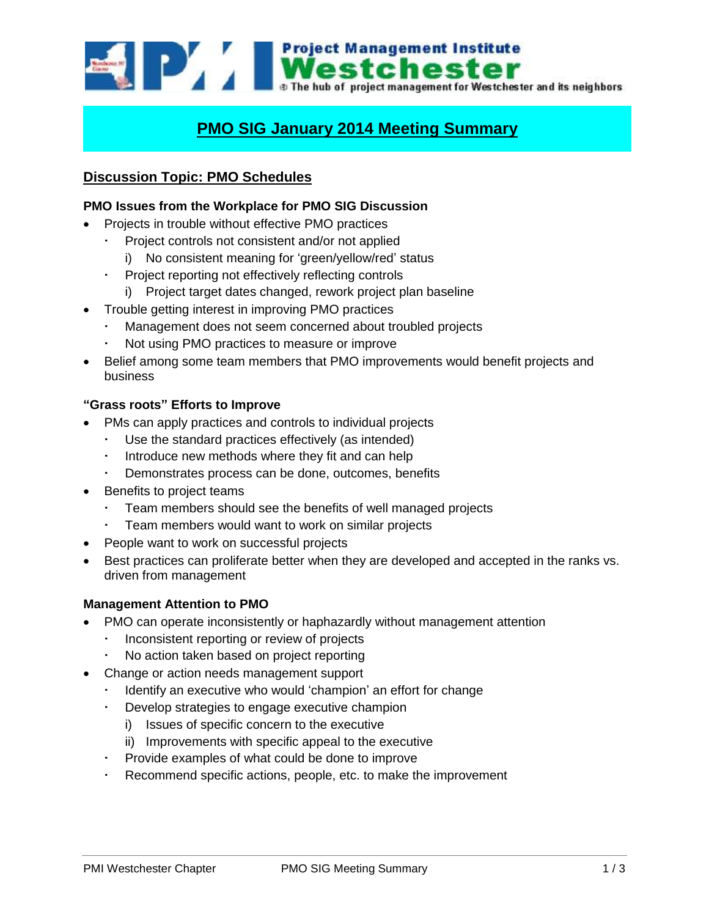

# **PMO SIG January 2014 Meeting Summary**

# **Discussion Topic: PMO Schedules**

# **PMO Issues from the Workplace for PMO SIG Discussion**

- Projects in trouble without effective PMO practices
	- Project controls not consistent and/or not applied
		- i) No consistent meaning for 'green/yellow/red' status
	- Project reporting not effectively reflecting controls
		- i) Project target dates changed, rework project plan baseline
- Trouble getting interest in improving PMO practices
	- Management does not seem concerned about troubled projects
	- Not using PMO practices to measure or improve
- Belief among some team members that PMO improvements would benefit projects and business

#### **"Grass roots" Efforts to Improve**

- PMs can apply practices and controls to individual projects
	- Use the standard practices effectively (as intended)
	- Introduce new methods where they fit and can help
	- Demonstrates process can be done, outcomes, benefits
- Benefits to project teams
	- Team members should see the benefits of well managed projects
	- Team members would want to work on similar projects
- People want to work on successful projects
- Best practices can proliferate better when they are developed and accepted in the ranks vs. driven from management

#### **Management Attention to PMO**

- PMO can operate inconsistently or haphazardly without management attention
	- Inconsistent reporting or review of projects
	- No action taken based on project reporting
- Change or action needs management support
	- Identify an executive who would 'champion' an effort for change
	- Develop strategies to engage executive champion
		- i) Issues of specific concern to the executive
		- ii) Improvements with specific appeal to the executive
	- Provide examples of what could be done to improve
	- Recommend specific actions, people, etc. to make the improvement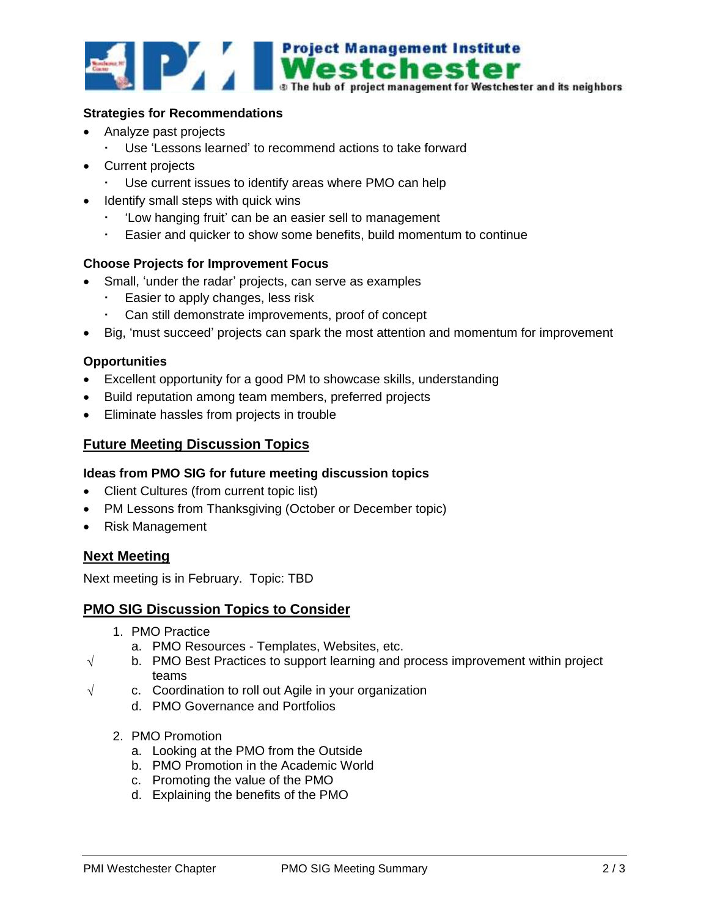

#### **Strategies for Recommendations**

- Analyze past projects
	- Use 'Lessons learned' to recommend actions to take forward
- Current projects
	- Use current issues to identify areas where PMO can help
- Identify small steps with quick wins
	- 'Low hanging fruit' can be an easier sell to management
	- Easier and quicker to show some benefits, build momentum to continue

#### **Choose Projects for Improvement Focus**

- Small, 'under the radar' projects, can serve as examples
	- Easier to apply changes, less risk
	- Can still demonstrate improvements, proof of concept
- Big, 'must succeed' projects can spark the most attention and momentum for improvement

#### **Opportunities**

- Excellent opportunity for a good PM to showcase skills, understanding
- Build reputation among team members, preferred projects
- Eliminate hassles from projects in trouble

## **Future Meeting Discussion Topics**

#### **Ideas from PMO SIG for future meeting discussion topics**

- Client Cultures (from current topic list)
- PM Lessons from Thanksgiving (October or December topic)
- Risk Management

## **Next Meeting**

Next meeting is in February. Topic: TBD

## **PMO SIG Discussion Topics to Consider**

- 1. PMO Practice
	- a. PMO Resources Templates, Websites, etc.
- $\sqrt{ }$  b. PMO Best Practices to support learning and process improvement within project teams
- $\sqrt{ }$  c. Coordination to roll out Agile in your organization
	- d. PMO Governance and Portfolios
	- 2. PMO Promotion
		- a. Looking at the PMO from the Outside
		- b. PMO Promotion in the Academic World
		- c. Promoting the value of the PMO
		- d. Explaining the benefits of the PMO